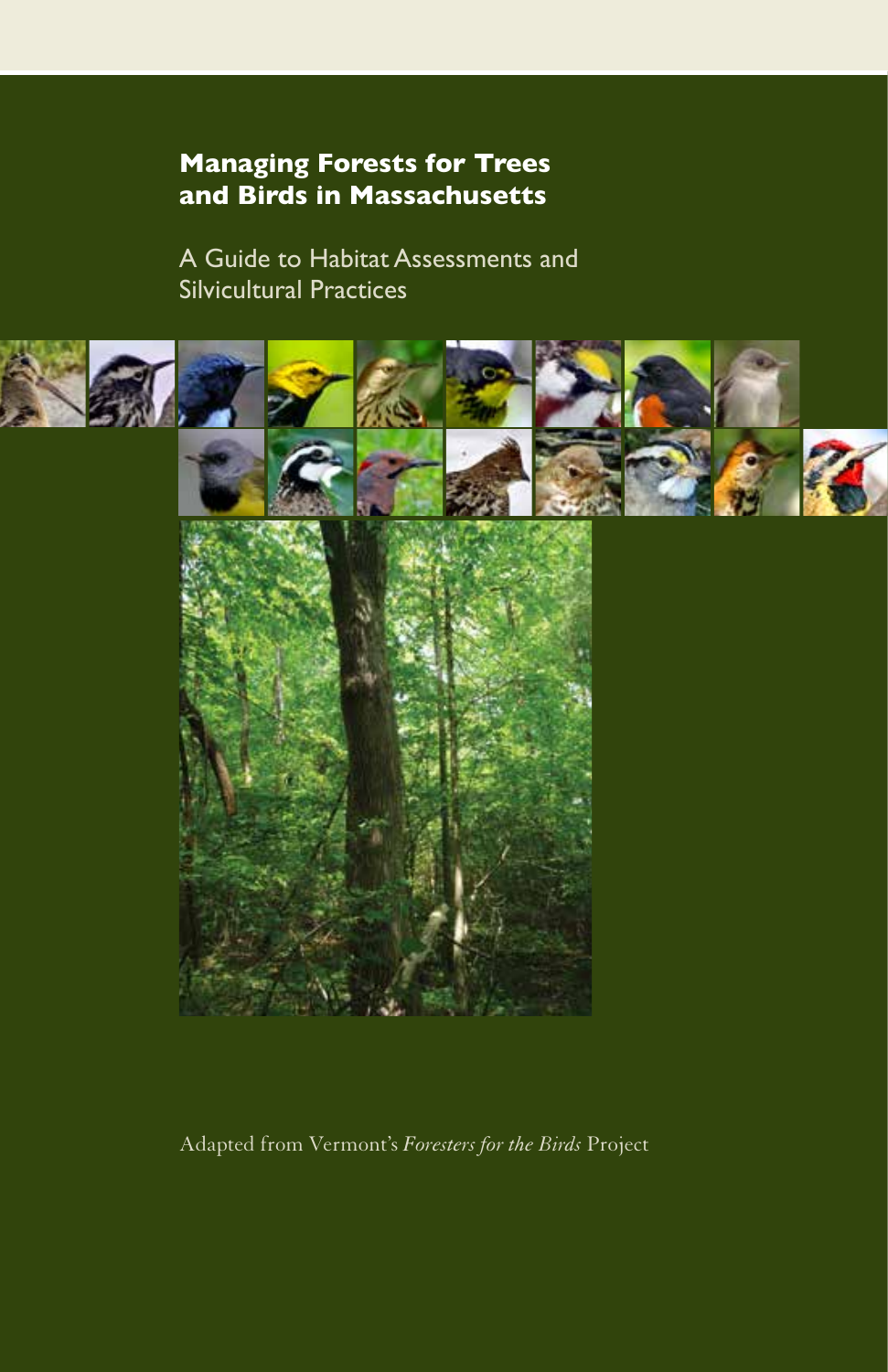# **Managing Forests for Trees and Birds in Massachusetts**

A Guide to Habitat Assessments and Silvicultural Practices



Adapted from Vermont's *Foresters for the Birds* Project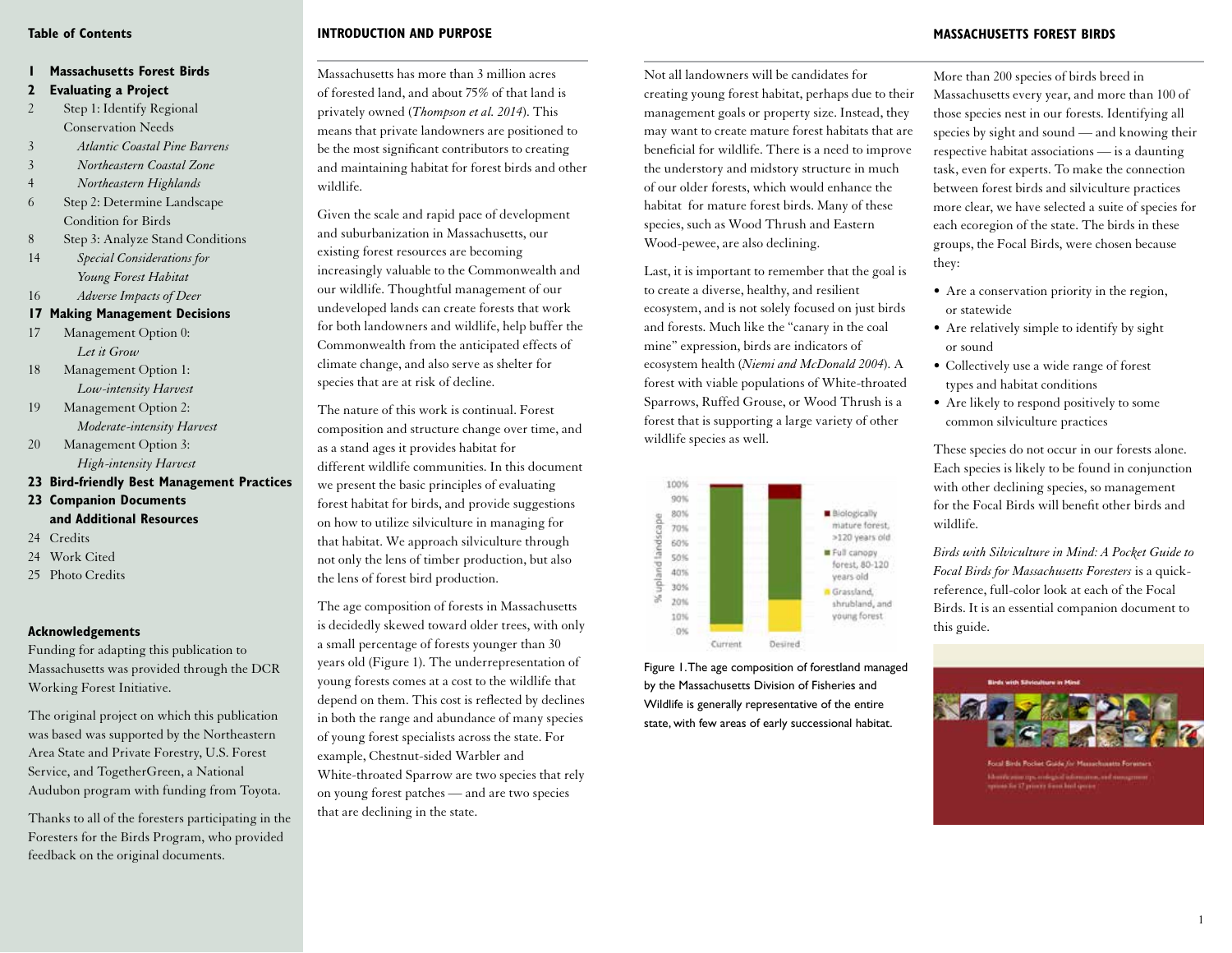#### **Table of Contents**

# **1 Massachusetts Forest Birds**

- **2 Evaluating a Project**
- 2 Step 1: Identify Regional Conservation Needs
- 3 *Atlantic Coastal Pine Barrens*
- 3 *Northeastern Coastal Zone*
- 4 *Northeastern Highlands*
- 6 Step 2: Determine Landscape Condition for Birds
- 8 Step 3: Analyze Stand Conditions
- 14 *Special Considerations for Young Forest Habitat*
- 16 *Adverse Impacts of Deer*
- **17 Making Management Decisions**
- 17 Management Option 0: *Let it Grow*
- 18 Management Option 1: *Low-intensity Harvest*
- 19 Management Option 2: *Moderate-intensity Harvest*
- 20 Management Option 3: *High-intensity Harvest*
- **23 Bird-friendly Best Management Practices**
- **23 Companion Documents and Additional Resources**
- 24 Credits
- 24 Work Cited
- 25 Photo Credits

# **Acknowledgements**

Funding for adapting this publication to Massachusetts was provided through the DCR Working Forest Initiative.

The original project on which this publication was based was supported by the Northeastern Area State and Private Forestry, U.S. Forest Service, and TogetherGreen, a National Audubon program with funding from Toyota.

Thanks to all of the foresters participating in the Foresters for the Birds Program, who provided feedback on the original documents.

# **INTRODUCTION AND PURPOSE**

Massachusetts has more than 3 million acres of forested land, and about 75% of that land is privately owned (*Thompson et al. 2014*). This means that private landowners are positioned to be the most significant contributors to creating and maintaining habitat for forest birds and other wildlife.

Given the scale and rapid pace of development and suburbanization in Massachusetts, our existing forest resources are becoming increasingly valuable to the Commonwealth and our wildlife. Thoughtful management of our undeveloped lands can create forests that work for both landowners and wildlife, help buffer the Commonwealth from the anticipated effects of climate change, and also serve as shelter for species that are at risk of decline.

The nature of this work is continual. Forest composition and structure change over time, and as a stand ages it provides habitat for different wildlife communities. In this document we present the basic principles of evaluating forest habitat for birds, and provide suggestions on how to utilize silviculture in managing for that habitat. We approach silviculture through not only the lens of timber production, but also the lens of forest bird production.

The age composition of forests in Massachusetts is decidedly skewed toward older trees, with only a small percentage of forests younger than 30 years old (Figure 1). The underrepresentation of young forests comes at a cost to the wildlife that depend on them. This cost is reflected by declines in both the range and abundance of many species of young forest specialists across the state. For example, Chestnut-sided Warbler and White-throated Sparrow are two species that rely on young forest patches — and are two species that are declining in the state.

Not all landowners will be candidates for creating young forest habitat, perhaps due to their management goals or property size. Instead, they may want to create mature forest habitats that are beneficial for wildlife. There is a need to improve the understory and midstory structure in much of our older forests, which would enhance the habitat for mature forest birds. Many of these species, such as Wood Thrush and Eastern Wood-pewee, are also declining.

Last, it is important to remember that the goal is to create a diverse, healthy, and resilient ecosystem, and is not solely focused on just birds and forests. Much like the "canary in the coal mine" expression, birds are indicators of ecosystem health (*Niemi and McDonald 2004*). A forest with viable populations of White-throated Sparrows, Ruffed Grouse, or Wood Thrush is a forest that is supporting a large variety of other wildlife species as well.



Figure 1. The age composition of forestland managed by the Massachusetts Division of Fisheries and Wildlife is generally representative of the entire state, with few areas of early successional habitat.

**MASSACHUSETTS FOREST BIRDS** 

More than 200 species of birds breed in Massachusetts every year, and more than 100 of those species nest in our forests. Identifying all species by sight and sound — and knowing their respective habitat associations — is a daunting task, even for experts. To make the connection between forest birds and silviculture practices more clear, we have selected a suite of species for each ecoregion of the state. The birds in these groups, the Focal Birds, were chosen because they:

- Are a conservation priority in the region, or statewide
- Are relatively simple to identify by sight or sound
- Collectively use a wide range of forest types and habitat conditions
- Are likely to respond positively to some common silviculture practices

These species do not occur in our forests alone. Each species is likely to be found in conjunction with other declining species, so management for the Focal Birds will benefit other birds and wildlife.

*Birds with Silviculture in Mind: A Pocket Guide to Focal Birds for Massachusetts Foresters* is a quickreference, full-color look at each of the Focal Birds. It is an essential companion document to this guide.

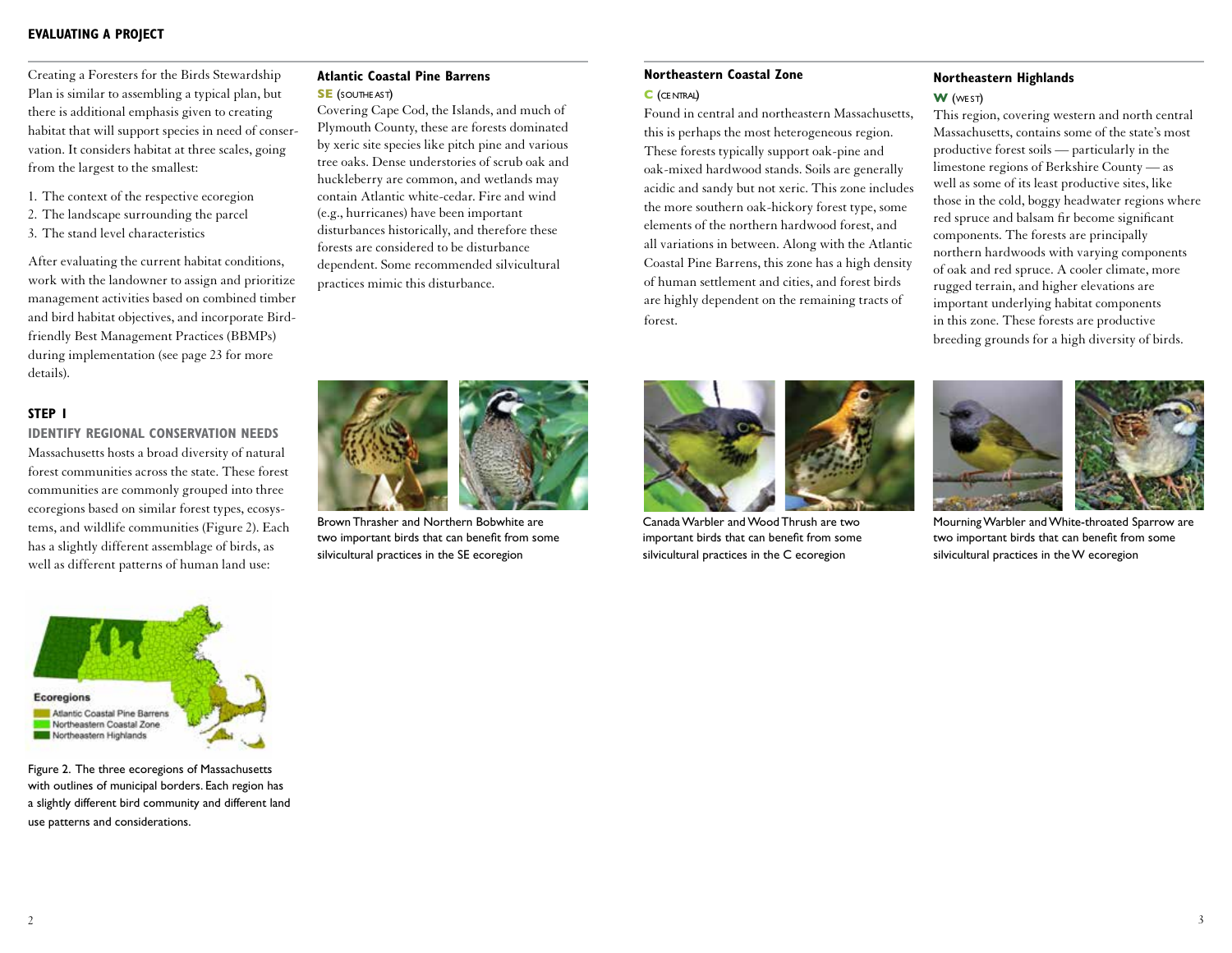Creating a Foresters for the Birds Stewardship Plan is similar to assembling a typical plan, but there is additional emphasis given to creating habitat that will support species in need of conservation. It considers habitat at three scales, going from the largest to the smallest:

- 1. The context of the respective ecoregion
- 2. The landscape surrounding the parcel
- 3. The stand level characteristics

After evaluating the current habitat conditions, work with the landowner to assign and prioritize management activities based on combined timber and bird habitat objectives, and incorporate Birdfriendly Best Management Practices (BBMPs) during implementation (see page 23 for more details).

### **STEP 1**

**IDENTIFY REGIONAL CONSERVATION NEEDS** Massachusetts hosts a broad diversity of natural forest communities across the state. These forest communities are commonly grouped into three ecoregions based on similar forest types, ecosystems, and wildlife communities (Figure 2). Each has a slightly different assemblage of birds, as well as different patterns of human land use:



Figure 2. The three ecoregions of Massachusetts with outlines of municipal borders. Each region has a slightly different bird community and different land use patterns and considerations.

# **Atlantic Coastal Pine Barrens SE** (SOUTHE AST)

Covering Cape Cod, the Islands, and much of Plymouth County, these are forests dominated by xeric site species like pitch pine and various tree oaks. Dense understories of scrub oak and huckleberry are common, and wetlands may contain Atlantic white-cedar. Fire and wind (e.g., hurricanes) have been important disturbances historically, and therefore these forests are considered to be disturbance dependent. Some recommended silvicultural practices mimic this disturbance.

# **Northeastern Coastal Zone**

#### **C** (ce ntral)

Found in central and northeastern Massachusetts, this is perhaps the most heterogeneous region. These forests typically support oak-pine and oak-mixed hardwood stands. Soils are generally acidic and sandy but not xeric. This zone includes the more southern oak-hickory forest type, some elements of the northern hardwood forest, and all variations in between. Along with the Atlantic Coastal Pine Barrens, this zone has a high density of human settlement and cities, and forest birds are highly dependent on the remaining tracts of forest.

### **Northeastern Highlands**

#### **W** (we st)

This region, covering western and north central Massachusetts, contains some of the state's most productive forest soils — particularly in the limestone regions of Berkshire County — as well as some of its least productive sites, like those in the cold, boggy headwater regions where red spruce and balsam fir become significant components. The forests are principally northern hardwoods with varying components of oak and red spruce. A cooler climate, more rugged terrain, and higher elevations are important underlying habitat components in this zone. These forests are productive breeding grounds for a high diversity of birds.



Brown Thrasher and Northern Bobwhite are two important birds that can benefit from some silvicultural practices in the SE ecoregion



Canada Warbler and Wood Thrush are two important birds that can benefit from some silvicultural practices in the C ecoregion



Mourning Warbler and White-throated Sparrow are two important birds that can benefit from some silvicultural practices in the W ecoregion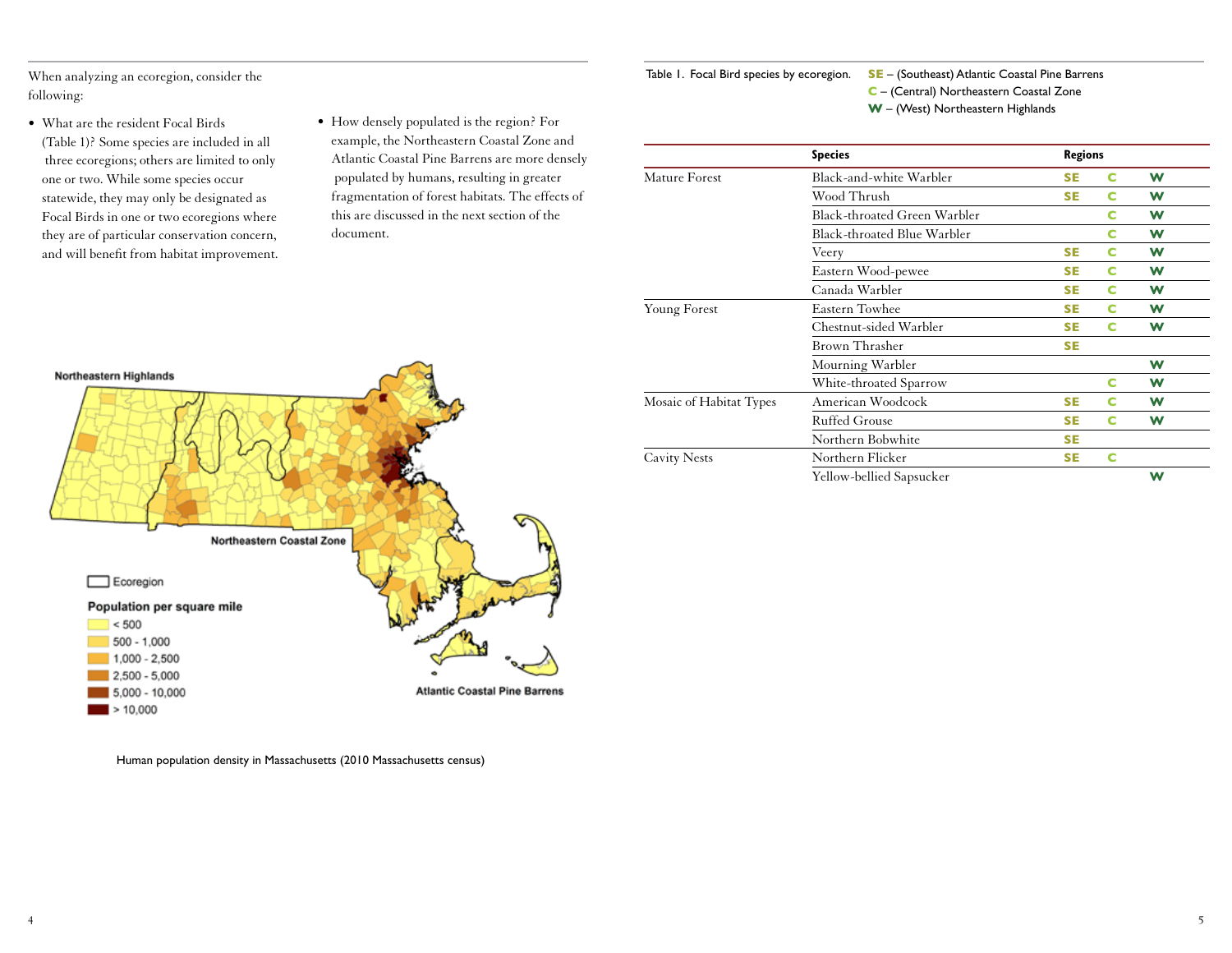When analyzing an ecoregion, consider the following:

- What are the resident Focal Birds (Table 1)? Some species are included in all three ecoregions; others are limited to only one or two. While some species occur statewide, they may only be designated as Focal Birds in one or two ecoregions where they are of particular conservation concern, and will benefit from habitat improvement.
- How densely populated is the region? For example, the Northeastern Coastal Zone and Atlantic Coastal Pine Barrens are more densely populated by humans, resulting in greater fragmentation of forest habitats. The effects of this are discussed in the next section of the document.



|                         | <b>Species</b>               | <b>Regions</b> |   |   |
|-------------------------|------------------------------|----------------|---|---|
| Mature Forest           | Black-and-white Warbler      | <b>SE</b>      | c | W |
|                         | Wood Thrush                  | <b>SE</b>      | c | W |
|                         | Black-throated Green Warbler |                | c | W |
|                         | Black-throated Blue Warbler  |                | c | W |
|                         | Veery                        | <b>SE</b>      | c | W |
|                         | Eastern Wood-pewee           | <b>SE</b>      | c | W |
|                         | Canada Warbler               | <b>SE</b>      | c | W |
| <b>Young Forest</b>     | Eastern Towhee               | <b>SE</b>      | c | W |
|                         | Chestnut-sided Warbler       | <b>SE</b>      | c | W |
|                         | Brown Thrasher               | <b>SE</b>      |   |   |
|                         | Mourning Warbler             |                |   | W |
|                         | White-throated Sparrow       |                | c | W |
| Mosaic of Habitat Types | American Woodcock            | <b>SE</b>      | c | W |
|                         | <b>Ruffed Grouse</b>         | <b>SE</b>      | c | W |
|                         | Northern Bobwhite            | <b>SE</b>      |   |   |
| <b>Cavity Nests</b>     | Northern Flicker             | <b>SE</b>      | c |   |
|                         | Yellow-bellied Sapsucker     |                |   | W |



Human population density in Massachusetts (2010 Massachusetts census)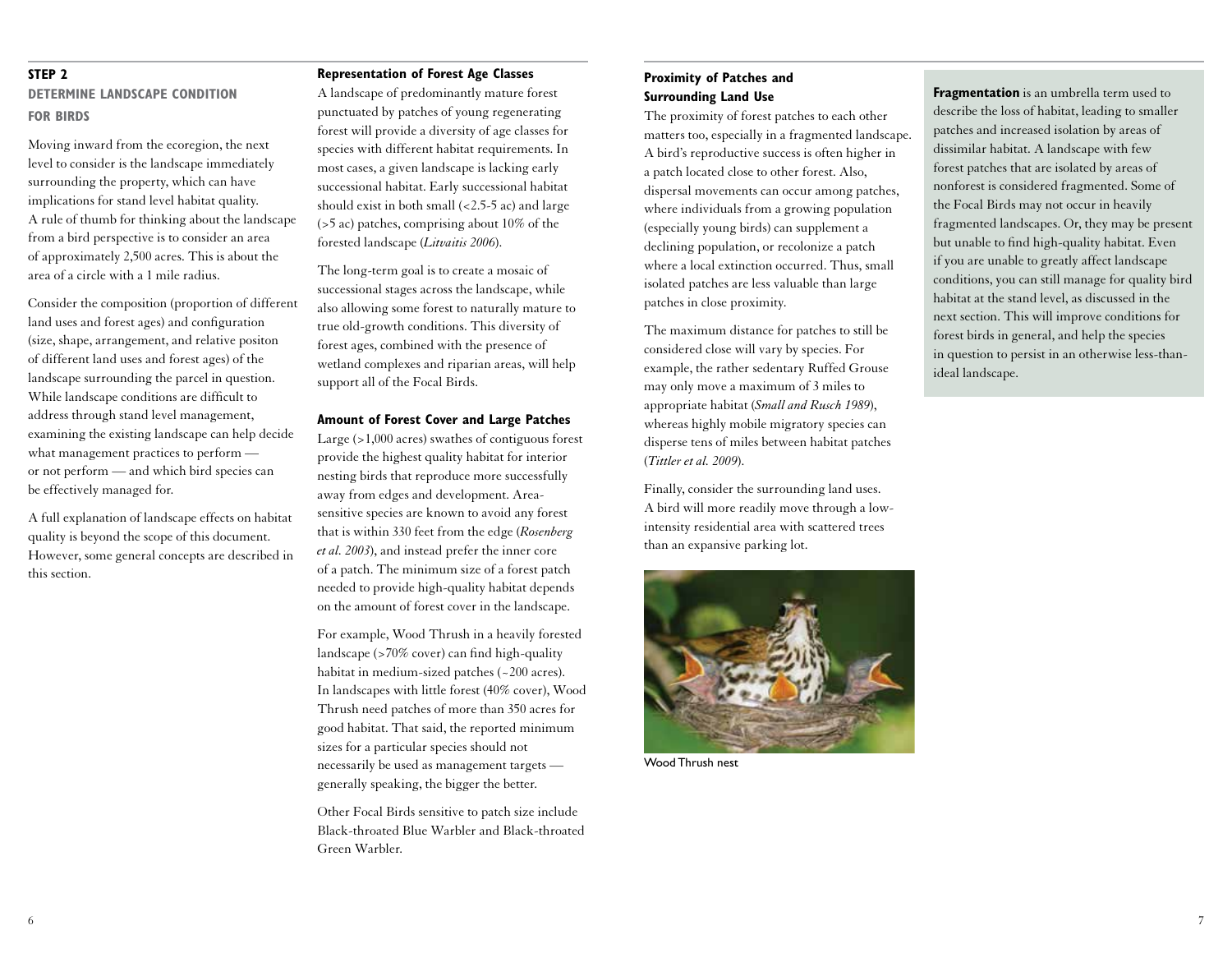# **STEP 2**

# **DETERMINE LANDSCAPE CONDITION FOR BIRDS**

Moving inward from the ecoregion, the next level to consider is the landscape immediately surrounding the property, which can have implications for stand level habitat quality. A rule of thumb for thinking about the landscape from a bird perspective is to consider an area of approximately 2,500 acres. This is about the area of a circle with a 1 mile radius.

Consider the composition (proportion of different land uses and forest ages) and configuration (size, shape, arrangement, and relative positon of different land uses and forest ages) of the landscape surrounding the parcel in question. While landscape conditions are difficult to address through stand level management, examining the existing landscape can help decide what management practices to perform or not perform — and which bird species can be effectively managed for.

A full explanation of landscape effects on habitat quality is beyond the scope of this document. However, some general concepts are described in this section.

#### **Representation of Forest Age Classes**

A landscape of predominantly mature forest punctuated by patches of young regenerating forest will provide a diversity of age classes for species with different habitat requirements. In most cases, a given landscape is lacking early successional habitat. Early successional habitat should exist in both small (<2.5-5 ac) and large (>5 ac) patches, comprising about 10% of the forested landscape (*Litvaitis 2006*).

The long-term goal is to create a mosaic of successional stages across the landscape, while also allowing some forest to naturally mature to true old-growth conditions. This diversity of forest ages, combined with the presence of wetland complexes and riparian areas, will help support all of the Focal Birds.

#### **Amount of Forest Cover and Large Patches**

Large (>1,000 acres) swathes of contiguous forest provide the highest quality habitat for interior nesting birds that reproduce more successfully away from edges and development. Areasensitive species are known to avoid any forest that is within 330 feet from the edge (*Rosenberg et al. 2003*), and instead prefer the inner core of a patch. The minimum size of a forest patch needed to provide high-quality habitat depends on the amount of forest cover in the landscape.

For example, Wood Thrush in a heavily forested landscape (>70% cover) can find high-quality habitat in medium-sized patches (~200 acres). In landscapes with little forest (40% cover), Wood Thrush need patches of more than 350 acres for good habitat. That said, the reported minimum sizes for a particular species should not necessarily be used as management targets generally speaking, the bigger the better.

Other Focal Birds sensitive to patch size include Black-throated Blue Warbler and Black-throated Green Warbler.

# **Proximity of Patches and Surrounding Land Use**

The proximity of forest patches to each other matters too, especially in a fragmented landscape. A bird's reproductive success is often higher in a patch located close to other forest. Also, dispersal movements can occur among patches, where individuals from a growing population (especially young birds) can supplement a declining population, or recolonize a patch where a local extinction occurred. Thus, small isolated patches are less valuable than large patches in close proximity.

The maximum distance for patches to still be considered close will vary by species. For example, the rather sedentary Ruffed Grouse may only move a maximum of 3 miles to appropriate habitat (*Small and Rusch 1989*), whereas highly mobile migratory species can disperse tens of miles between habitat patches (*Tittler et al. 2009*).

Finally, consider the surrounding land uses. A bird will more readily move through a lowintensity residential area with scattered trees than an expansive parking lot.



Wood Thrush nest

**Fragmentation** is an umbrella term used to describe the loss of habitat, leading to smaller patches and increased isolation by areas of dissimilar habitat. A landscape with few forest patches that are isolated by areas of nonforest is considered fragmented. Some of the Focal Birds may not occur in heavily fragmented landscapes. Or, they may be present but unable to find high-quality habitat. Even if you are unable to greatly affect landscape conditions, you can still manage for quality bird habitat at the stand level, as discussed in the next section. This will improve conditions for forest birds in general, and help the species in question to persist in an otherwise less-thanideal landscape.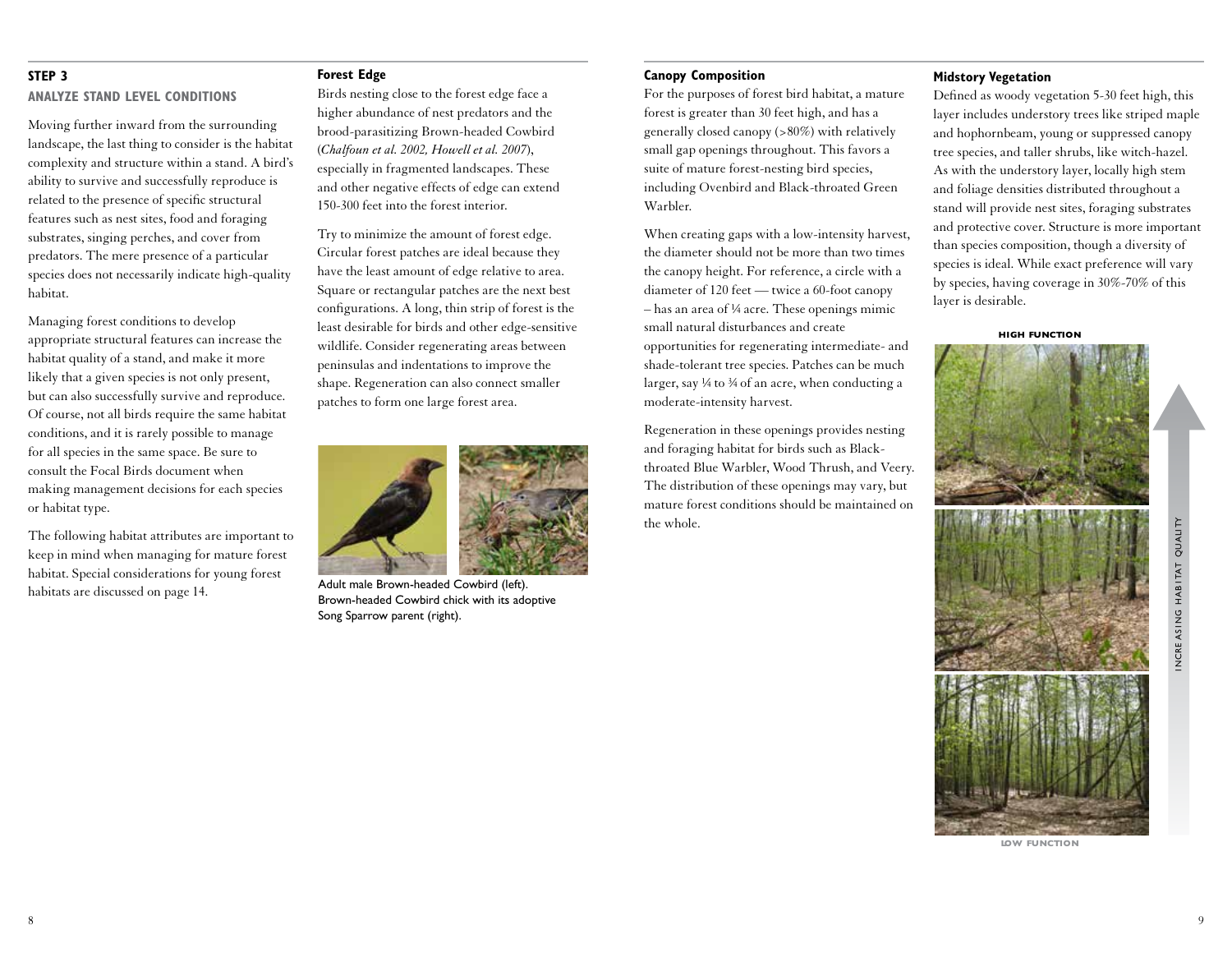#### **STEP 3**

#### **ANALYZE STAND LEVEL CONDITIONS**

Moving further inward from the surrounding landscape, the last thing to consider is the habitat complexity and structure within a stand. A bird's ability to survive and successfully reproduce is related to the presence of specific structural features such as nest sites, food and foraging substrates, singing perches, and cover from predators. The mere presence of a particular species does not necessarily indicate high-quality habitat.

Managing forest conditions to develop appropriate structural features can increase the habitat quality of a stand, and make it more likely that a given species is not only present, but can also successfully survive and reproduce. Of course, not all birds require the same habitat conditions, and it is rarely possible to manage for all species in the same space. Be sure to consult the Focal Birds document when making management decisions for each species or habitat type.

The following habitat attributes are important to keep in mind when managing for mature forest habitat. Special considerations for young forest habitats are discussed on page 14.

#### **Forest Edge**

Birds nesting close to the forest edge face a higher abundance of nest predators and the brood-parasitizing Brown-headed Cowbird (*Chalfoun et al. 2002, Howell et al. 2007*), especially in fragmented landscapes. These and other negative effects of edge can extend 150-300 feet into the forest interior.

Try to minimize the amount of forest edge. Circular forest patches are ideal because they have the least amount of edge relative to area. Square or rectangular patches are the next best configurations. A long, thin strip of forest is the least desirable for birds and other edge-sensitive wildlife. Consider regenerating areas between peninsulas and indentations to improve the shape. Regeneration can also connect smaller patches to form one large forest area.



Adult male Brown-headed Cowbird (left). Brown-headed Cowbird chick with its adoptive Song Sparrow parent (right).

#### **Canopy Composition**

For the purposes of forest bird habitat, a mature forest is greater than 30 feet high, and has a generally closed canopy (>80%) with relatively small gap openings throughout. This favors a suite of mature forest-nesting bird species, including Ovenbird and Black-throated Green Warbler.

When creating gaps with a low-intensity harvest, the diameter should not be more than two times the canopy height. For reference, a circle with a diameter of 120 feet — twice a 60-foot canopy – has an area of ¼ acre. These openings mimic small natural disturbances and create opportunities for regenerating intermediate- and shade-tolerant tree species. Patches can be much larger, say  $\frac{1}{4}$  to  $\frac{3}{4}$  of an acre, when conducting a moderate-intensity harvest.

Regeneration in these openings provides nesting and foraging habitat for birds such as Blackthroated Blue Warbler, Wood Thrush, and Veery. The distribution of these openings may vary, but mature forest conditions should be maintained on the whole.

### **Midstory Vegetation**

Defined as woody vegetation 5-30 feet high, this layer includes understory trees like striped maple and hophornbeam, young or suppressed canopy tree species, and taller shrubs, like witch-hazel. As with the understory layer, locally high stem and foliage densities distributed throughout a stand will provide nest sites, foraging substrates and protective cover. Structure is more important than species composition, though a diversity of species is ideal. While exact preference will vary by species, having coverage in 30%-70% of this layer is desirable.

#### **high function**



**low function**

i ncre as i ng hab i tat qu ali ty

NCREASING HABITAT QUALITY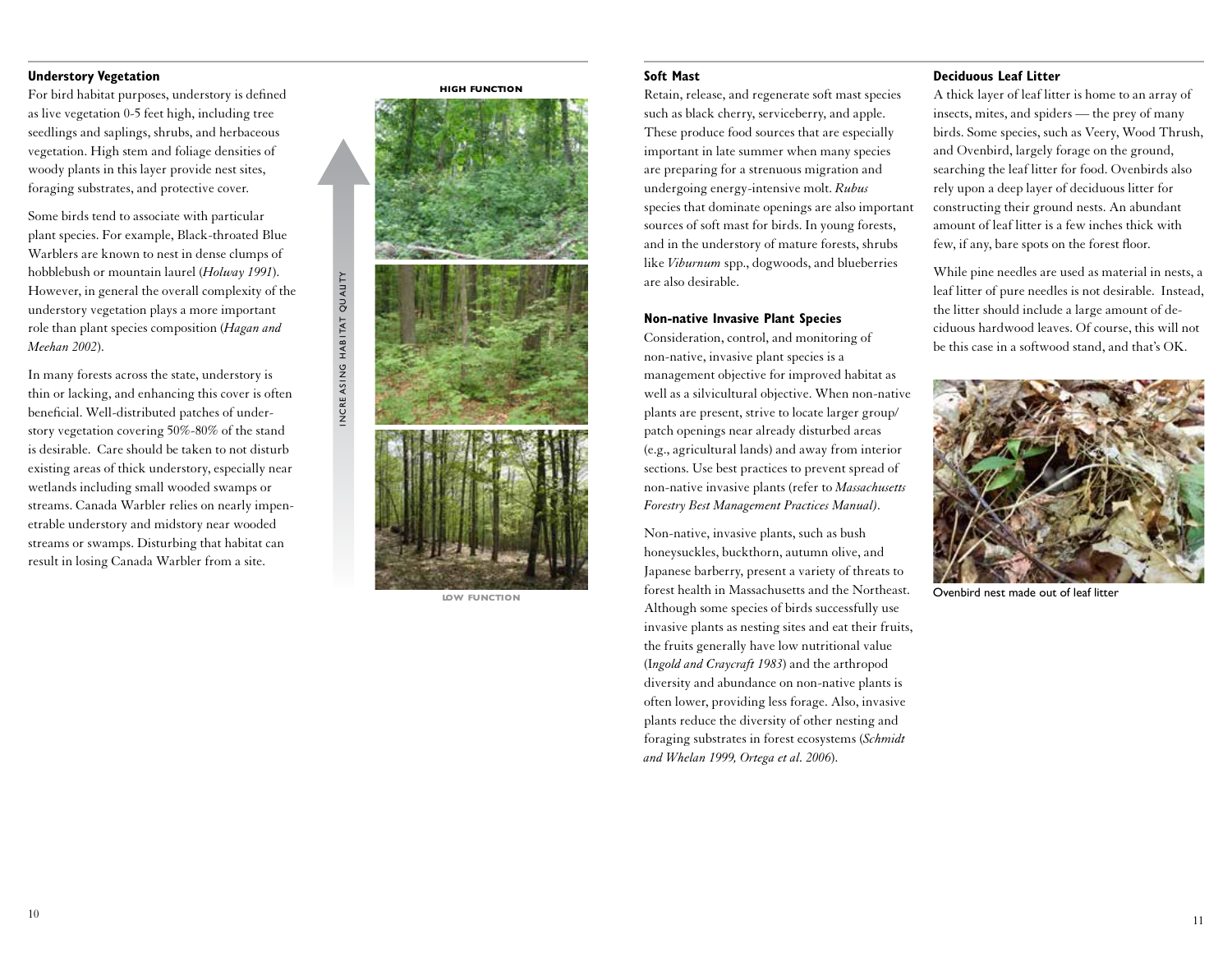### **Understory Vegetation**

For bird habitat purposes, understory is defined as live vegetation 0-5 feet high, including tree seedlings and saplings, shrubs, and herbaceous vegetation. High stem and foliage densities of woody plants in this layer provide nest sites, foraging substrates, and protective cover.

Some birds tend to associate with particular plant species. For example, Black-throated Blue Warblers are known to nest in dense clumps of hobblebush or mountain laurel (*Holway 1991*). However, in general the overall complexity of the understory vegetation plays a more important role than plant species composition (*Hagan and Meehan 2002*).

In many forests across the state, understory is thin or lacking, and enhancing this cover is often beneficial. Well-distributed patches of understory vegetation covering 50%-80% of the stand is desirable. Care should be taken to not disturb existing areas of thick understory, especially near wetlands including small wooded swamps or streams. Canada Warbler relies on nearly impenetrable understory and midstory near wooded streams or swamps. Disturbing that habitat can result in losing Canada Warbler from a site.



i ncre as i ng hab i tat qu ali ty

INCREASING HABITAT QUALITY

**low function**

#### **Soft Mast**

Retain, release, and regenerate soft mast species such as black cherry, serviceberry, and apple. These produce food sources that are especially important in late summer when many species are preparing for a strenuous migration and undergoing energy-intensive molt. *Rubus*  species that dominate openings are also important sources of soft mast for birds. In young forests, and in the understory of mature forests, shrubs like *Viburnum* spp., dogwoods, and blueberries are also desirable.

#### **Non-native Invasive Plant Species**

Consideration, control, and monitoring of non-native, invasive plant species is a management objective for improved habitat as well as a silvicultural objective. When non-native plants are present, strive to locate larger group/ patch openings near already disturbed areas (e.g., agricultural lands) and away from interior sections. Use best practices to prevent spread of non-native invasive plants (refer to *Massachusetts Forestry Best Management Practices Manual).*

Non-native, invasive plants, such as bush honeysuckles, buckthorn, autumn olive, and Japanese barberry, present a variety of threats to forest health in Massachusetts and the Northeast. Although some species of birds successfully use invasive plants as nesting sites and eat their fruits, the fruits generally have low nutritional value (I*ngold and Craycraft 1983*) and the arthropod diversity and abundance on non-native plants is often lower, providing less forage. Also, invasive plants reduce the diversity of other nesting and foraging substrates in forest ecosystems (*Schmidt and Whelan 1999, Ortega et al. 2006*).

#### **Deciduous Leaf Litter**

A thick layer of leaf litter is home to an array of insects, mites, and spiders — the prey of many birds. Some species, such as Veery, Wood Thrush, and Ovenbird, largely forage on the ground, searching the leaf litter for food. Ovenbirds also rely upon a deep layer of deciduous litter for constructing their ground nests. An abundant amount of leaf litter is a few inches thick with few, if any, bare spots on the forest floor.

While pine needles are used as material in nests, a leaf litter of pure needles is not desirable. Instead, the litter should include a large amount of deciduous hardwood leaves. Of course, this will not be this case in a softwood stand, and that's OK.



Ovenbird nest made out of leaf litter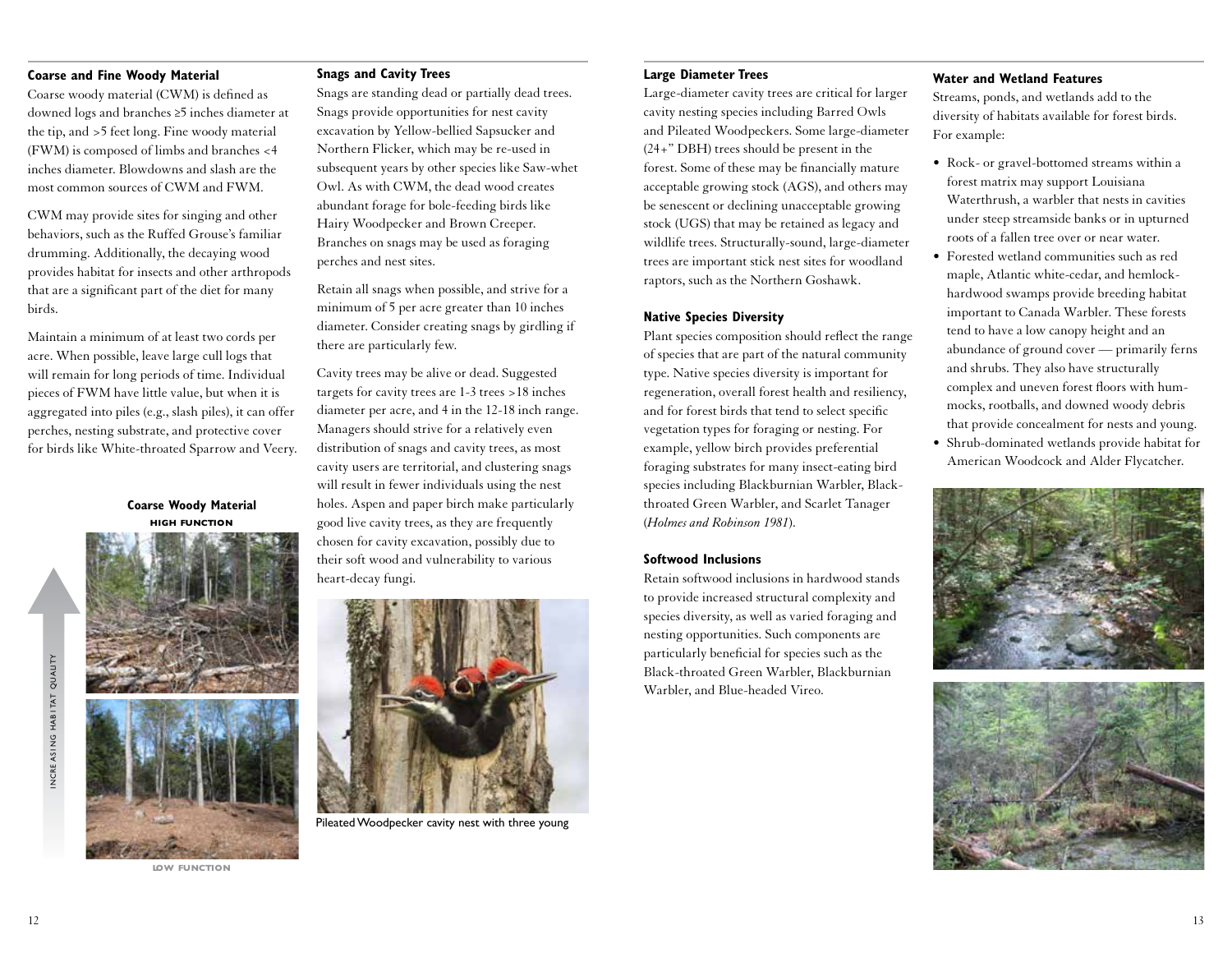# **Coarse and Fine Woody Material**

Coarse woody material (CWM) is defined as downed logs and branches ≥5 inches diameter at the tip, and >5 feet long. Fine woody material (FWM) is composed of limbs and branches <4 inches diameter. Blowdowns and slash are the most common sources of CWM and FWM.

CWM may provide sites for singing and other behaviors, such as the Ruffed Grouse's familiar drumming. Additionally, the decaying wood provides habitat for insects and other arthropods that are a significant part of the diet for many birds.

Maintain a minimum of at least two cords per acre. When possible, leave large cull logs that will remain for long periods of time. Individual pieces of FWM have little value, but when it is aggregated into piles (e.g., slash piles), it can offer perches, nesting substrate, and protective cover for birds like White-throated Sparrow and Veery.

> **high function Coarse Woody Material**



**low function**

#### **Snags and Cavity Trees**

Snags are standing dead or partially dead trees. Snags provide opportunities for nest cavity excavation by Yellow-bellied Sapsucker and Northern Flicker, which may be re-used in subsequent years by other species like Saw-whet Owl. As with CWM, the dead wood creates abundant forage for bole-feeding birds like Hairy Woodpecker and Brown Creeper. Branches on snags may be used as foraging perches and nest sites.

Retain all snags when possible, and strive for a minimum of 5 per acre greater than 10 inches diameter. Consider creating snags by girdling if there are particularly few.

Cavity trees may be alive or dead. Suggested targets for cavity trees are 1-3 trees >18 inches diameter per acre, and 4 in the 12-18 inch range. Managers should strive for a relatively even distribution of snags and cavity trees, as most cavity users are territorial, and clustering snags will result in fewer individuals using the nest holes. Aspen and paper birch make particularly good live cavity trees, as they are frequently chosen for cavity excavation, possibly due to their soft wood and vulnerability to various heart-decay fungi.



Pileated Woodpecker cavity nest with three young

#### **Large Diameter Trees**

Large-diameter cavity trees are critical for larger cavity nesting species including Barred Owls and Pileated Woodpeckers. Some large-diameter (24+" DBH) trees should be present in the forest. Some of these may be financially mature acceptable growing stock (AGS), and others may be senescent or declining unacceptable growing stock (UGS) that may be retained as legacy and wildlife trees. Structurally-sound, large-diameter trees are important stick nest sites for woodland raptors, such as the Northern Goshawk.

#### **Native Species Diversity**

Plant species composition should reflect the range of species that are part of the natural community type. Native species diversity is important for regeneration, overall forest health and resiliency, and for forest birds that tend to select specific vegetation types for foraging or nesting. For example, yellow birch provides preferential foraging substrates for many insect-eating bird species including Blackburnian Warbler, Blackthroated Green Warbler, and Scarlet Tanager (*Holmes and Robinson 1981*).

### **Softwood Inclusions**

Retain softwood inclusions in hardwood stands to provide increased structural complexity and species diversity, as well as varied foraging and nesting opportunities. Such components are particularly beneficial for species such as the Black-throated Green Warbler, Blackburnian Warbler, and Blue-headed Vireo.

### **Water and Wetland Features**

Streams, ponds, and wetlands add to the diversity of habitats available for forest birds. For example:

- Rock- or gravel-bottomed streams within a forest matrix may support Louisiana Waterthrush, a warbler that nests in cavities under steep streamside banks or in upturned roots of a fallen tree over or near water.
- Forested wetland communities such as red maple, Atlantic white-cedar, and hemlockhardwood swamps provide breeding habitat important to Canada Warbler. These forests tend to have a low canopy height and an abundance of ground cover — primarily ferns and shrubs. They also have structurally complex and uneven forest floors with hummocks, rootballs, and downed woody debris that provide concealment for nests and young.
- Shrub-dominated wetlands provide habitat for American Woodcock and Alder Flycatcher.





i ncre as i ng hab i tat qu ali ty

NCREASING HABITAT QUALITY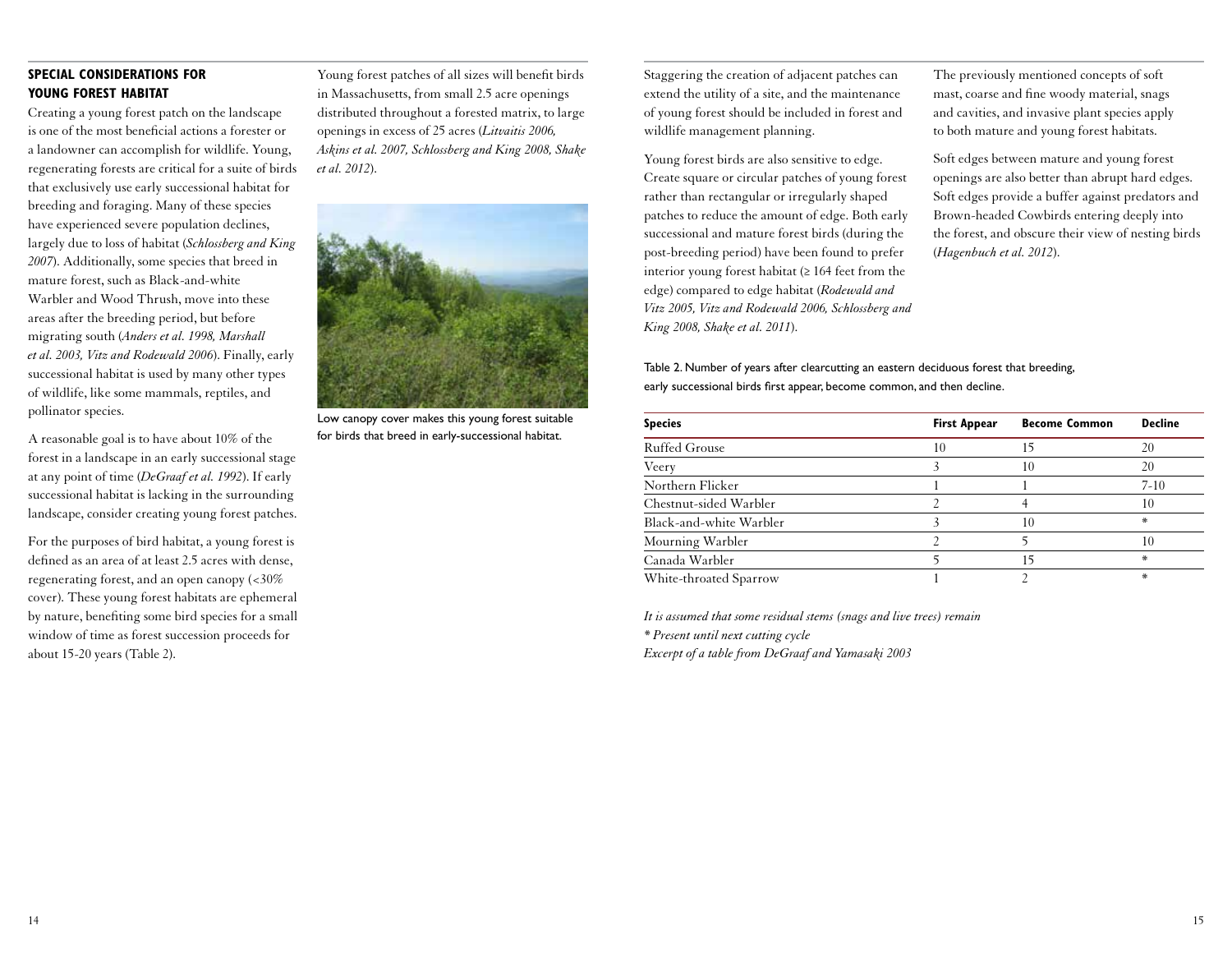# **SPECIAL CONSIDERATIONS FOR YOUNG FOREST HABITAT**

Creating a young forest patch on the landscape is one of the most beneficial actions a forester or a landowner can accomplish for wildlife. Young, regenerating forests are critical for a suite of birds that exclusively use early successional habitat for breeding and foraging. Many of these species have experienced severe population declines, largely due to loss of habitat (*Schlossberg and King 2007*). Additionally, some species that breed in mature forest, such as Black-and-white Warbler and Wood Thrush, move into these areas after the breeding period, but before migrating south (*Anders et al. 1998, Marshall et al. 2003, Vitz and Rodewald 2006*). Finally, early successional habitat is used by many other types of wildlife, like some mammals, reptiles, and pollinator species.

A reasonable goal is to have about 10% of the forest in a landscape in an early successional stage at any point of time (*DeGraaf et al. 1992*). If early successional habitat is lacking in the surrounding landscape, consider creating young forest patches.

For the purposes of bird habitat, a young forest is defined as an area of at least 2.5 acres with dense, regenerating forest, and an open canopy (<30% cover). These young forest habitats are ephemeral by nature, benefiting some bird species for a small window of time as forest succession proceeds for about 15-20 years (Table 2).

Young forest patches of all sizes will benefit birds in Massachusetts, from small 2.5 acre openings distributed throughout a forested matrix, to large openings in excess of 25 acres (*Litvaitis 2006, Askins et al. 2007, Schlossberg and King 2008, Shake et al. 2012*).



Low canopy cover makes this young forest suitable for birds that breed in early-successional habitat.

Staggering the creation of adjacent patches can extend the utility of a site, and the maintenance of young forest should be included in forest and wildlife management planning.

Young forest birds are also sensitive to edge. Create square or circular patches of young forest rather than rectangular or irregularly shaped patches to reduce the amount of edge. Both early successional and mature forest birds (during the post-breeding period) have been found to prefer interior young forest habitat  $(≥ 164$  feet from the edge) compared to edge habitat (*Rodewald and Vitz 2005, Vitz and Rodewald 2006, Schlossberg and King 2008, Shake et al. 2011*).

The previously mentioned concepts of soft mast, coarse and fine woody material, snags and cavities, and invasive plant species apply to both mature and young forest habitats.

Soft edges between mature and young forest openings are also better than abrupt hard edges. Soft edges provide a buffer against predators and Brown-headed Cowbirds entering deeply into the forest, and obscure their view of nesting birds (*Hagenbuch et al. 2012*).

Table 2. Number of years after clearcutting an eastern deciduous forest that breeding, early successional birds first appear, become common, and then decline.

| <b>Species</b>          | <b>First Appear</b> | <b>Become Common</b> | <b>Decline</b> |
|-------------------------|---------------------|----------------------|----------------|
| Ruffed Grouse           | 10                  |                      | 20             |
| Veery                   |                     | 10                   | 20             |
| Northern Flicker        |                     |                      | $7-10$         |
| Chestnut-sided Warbler  |                     |                      | 10             |
| Black-and-white Warbler |                     | 10                   | *              |
| Mourning Warbler        |                     |                      | 10             |
| Canada Warbler          |                     | 15                   | *              |
| White-throated Sparrow  |                     |                      | *              |

*It is assumed that some residual stems (snags and live trees) remain \* Present until next cutting cycle Excerpt of a table from DeGraaf and Yamasaki 2003*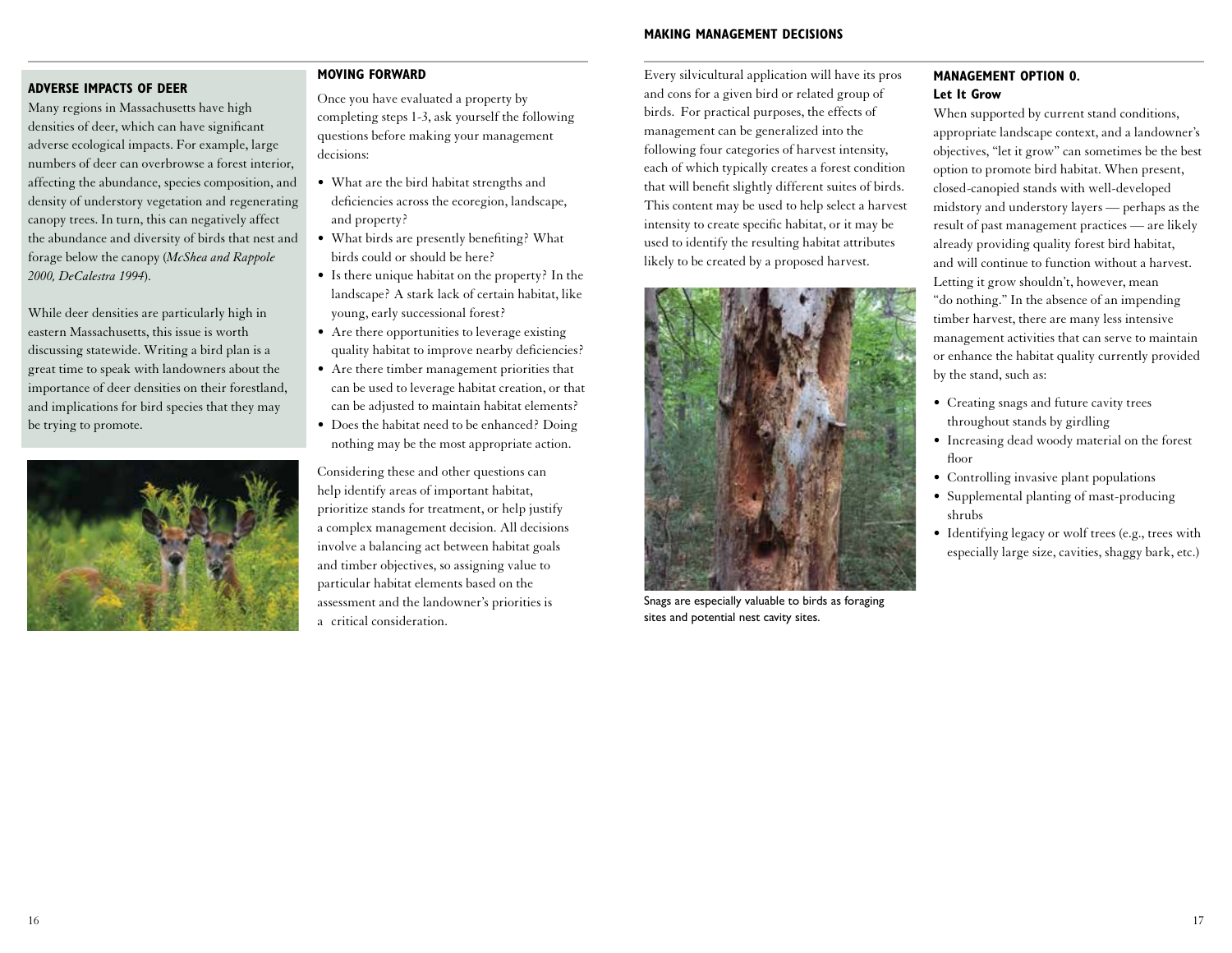# **ADVERSE IMPACTS OF DEER**

Many regions in Massachusetts have high densities of deer, which can have significant adverse ecological impacts. For example, large numbers of deer can overbrowse a forest interior, affecting the abundance, species composition, and density of understory vegetation and regenerating canopy trees. In turn, this can negatively affect the abundance and diversity of birds that nest and forage below the canopy (*McShea and Rappole 2000, DeCalestra 1994*).

While deer densities are particularly high in eastern Massachusetts, this issue is worth discussing statewide. Writing a bird plan is a great time to speak with landowners about the importance of deer densities on their forestland, and implications for bird species that they may be trying to promote.



#### **MOVING FORWARD**

Once you have evaluated a property by completing steps 1-3, ask yourself the following questions before making your management decisions:

- What are the bird habitat strengths and deficiencies across the ecoregion, landscape, and property?
- What birds are presently benefiting? What birds could or should be here?
- Is there unique habitat on the property? In the landscape? A stark lack of certain habitat, like young, early successional forest?
- Are there opportunities to leverage existing quality habitat to improve nearby deficiencies?
- Are there timber management priorities that can be used to leverage habitat creation, or that can be adjusted to maintain habitat elements?
- Does the habitat need to be enhanced? Doing nothing may be the most appropriate action.

Considering these and other questions can help identify areas of important habitat, prioritize stands for treatment, or help justify a complex management decision. All decisions involve a balancing act between habitat goals and timber objectives, so assigning value to particular habitat elements based on the assessment and the landowner's priorities is a critical consideration.

Every silvicultural application will have its pros and cons for a given bird or related group of birds. For practical purposes, the effects of management can be generalized into the following four categories of harvest intensity, each of which typically creates a forest condition that will benefit slightly different suites of birds. This content may be used to help select a harvest intensity to create specific habitat, or it may be used to identify the resulting habitat attributes likely to be created by a proposed harvest.



Snags are especially valuable to birds as foraging sites and potential nest cavity sites.

# **MANAGEMENT OPTION 0. Let It Grow**

When supported by current stand conditions, appropriate landscape context, and a landowner's objectives, "let it grow" can sometimes be the best option to promote bird habitat. When present, closed-canopied stands with well-developed midstory and understory layers — perhaps as the result of past management practices — are likely already providing quality forest bird habitat, and will continue to function without a harvest. Letting it grow shouldn't, however, mean "do nothing." In the absence of an impending timber harvest, there are many less intensive management activities that can serve to maintain or enhance the habitat quality currently provided by the stand, such as:

- Creating snags and future cavity trees throughout stands by girdling
- Increasing dead woody material on the forest floor
- Controlling invasive plant populations
- Supplemental planting of mast-producing shrubs
- Identifying legacy or wolf trees (e.g., trees with especially large size, cavities, shaggy bark, etc.)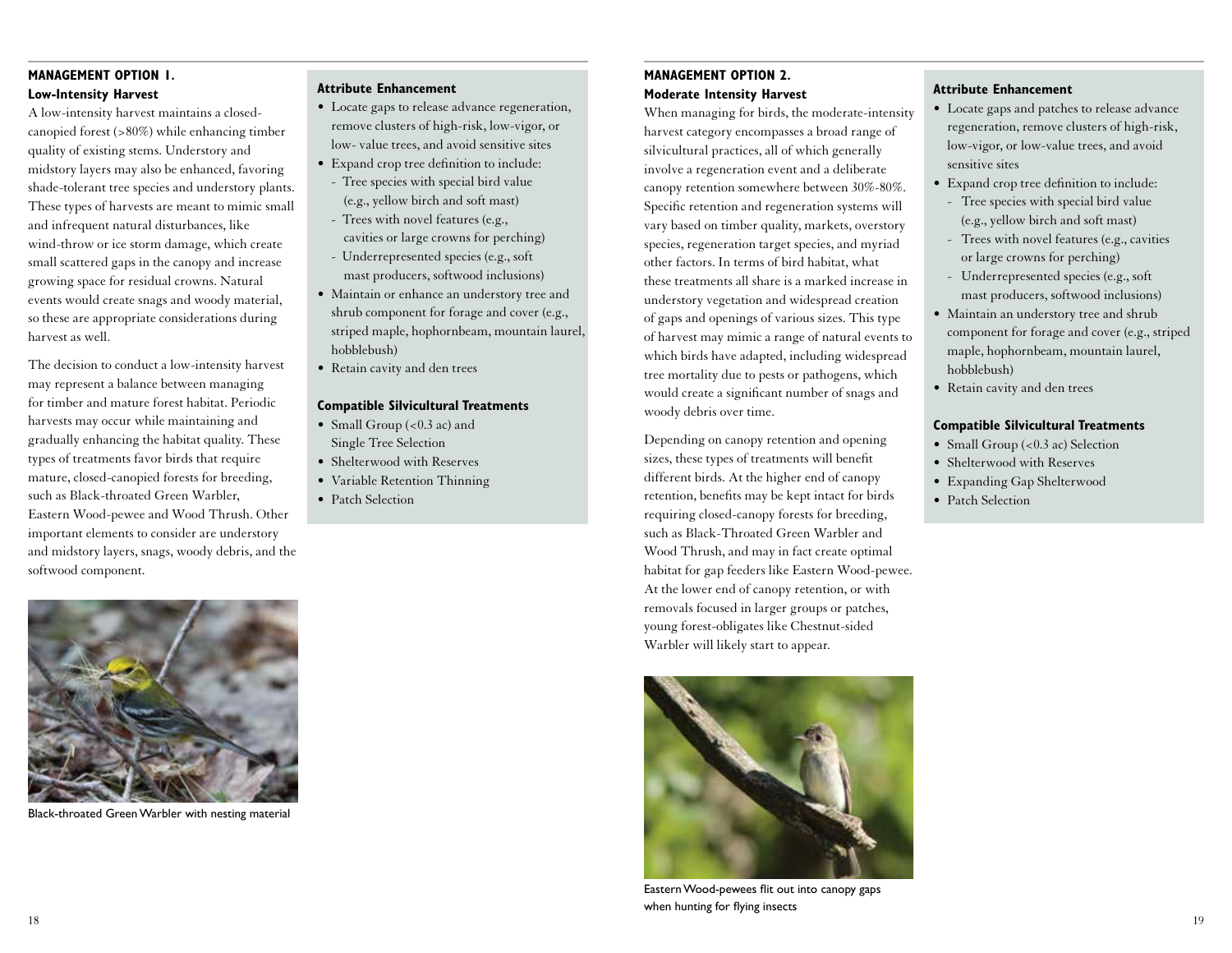# **MANAGEMENT OPTION 1. Low-Intensity Harvest**

A low-intensity harvest maintains a closedcanopied forest (>80%) while enhancing timber quality of existing stems. Understory and midstory layers may also be enhanced, favoring shade-tolerant tree species and understory plants. These types of harvests are meant to mimic small and infrequent natural disturbances, like wind-throw or ice storm damage, which create small scattered gaps in the canopy and increase growing space for residual crowns. Natural events would create snags and woody material, so these are appropriate considerations during harvest as well.

The decision to conduct a low-intensity harvest may represent a balance between managing for timber and mature forest habitat. Periodic harvests may occur while maintaining and gradually enhancing the habitat quality. These types of treatments favor birds that require mature, closed-canopied forests for breeding, such as Black-throated Green Warbler, Eastern Wood-pewee and Wood Thrush. Other important elements to consider are understory and midstory layers, snags, woody debris, and the softwood component.



Black-throated Green Warbler with nesting material

### **Attribute Enhancement**

- Locate gaps to release advance regeneration, remove clusters of high-risk, low-vigor, or low- value trees, and avoid sensitive sites
- Expand crop tree definition to include: - Tree species with special bird value
- (e.g., yellow birch and soft mast) - Trees with novel features (e.g.,
- cavities or large crowns for perching) - Underrepresented species (e.g., soft mast producers, softwood inclusions)
- Maintain or enhance an understory tree and shrub component for forage and cover (e.g., striped maple, hophornbeam, mountain laurel, hobblebush)
- Retain cavity and den trees

### **Compatible Silvicultural Treatments**

- Small Group  $( $0.3$  ac) and$ Single Tree Selection
- Shelterwood with Reserves
- Variable Retention Thinning
- Patch Selection

# **MANAGEMENT OPTION 2. Moderate Intensity Harvest**

When managing for birds, the moderate-intensity harvest category encompasses a broad range of silvicultural practices, all of which generally involve a regeneration event and a deliberate canopy retention somewhere between 30%-80%. Specific retention and regeneration systems will vary based on timber quality, markets, overstory species, regeneration target species, and myriad other factors. In terms of bird habitat, what these treatments all share is a marked increase in understory vegetation and widespread creation of gaps and openings of various sizes. This type of harvest may mimic a range of natural events to which birds have adapted, including widespread tree mortality due to pests or pathogens, which would create a significant number of snags and woody debris over time.

Depending on canopy retention and opening sizes, these types of treatments will benefit different birds. At the higher end of canopy retention, benefits may be kept intact for birds requiring closed-canopy forests for breeding, such as Black-Throated Green Warbler and Wood Thrush, and may in fact create optimal habitat for gap feeders like Eastern Wood-pewee. At the lower end of canopy retention, or with removals focused in larger groups or patches, young forest-obligates like Chestnut-sided Warbler will likely start to appear.



Eastern Wood-pewees flit out into canopy gaps when hunting for flying insects

### **Attribute Enhancement**

- Locate gaps and patches to release advance regeneration, remove clusters of high-risk, low-vigor, or low-value trees, and avoid sensitive sites
- Expand crop tree definition to include:
- Tree species with special bird value (e.g., yellow birch and soft mast)
- Trees with novel features (e.g., cavities or large crowns for perching)
- Underrepresented species (e.g., soft mast producers, softwood inclusions)
- Maintain an understory tree and shrub component for forage and cover (e.g., striped maple, hophornbeam, mountain laurel, hobblebush)
- Retain cavity and den trees

### **Compatible Silvicultural Treatments**

- Small Group (<0.3 ac) Selection
- Shelterwood with Reserves
- Expanding Gap Shelterwood
- Patch Selection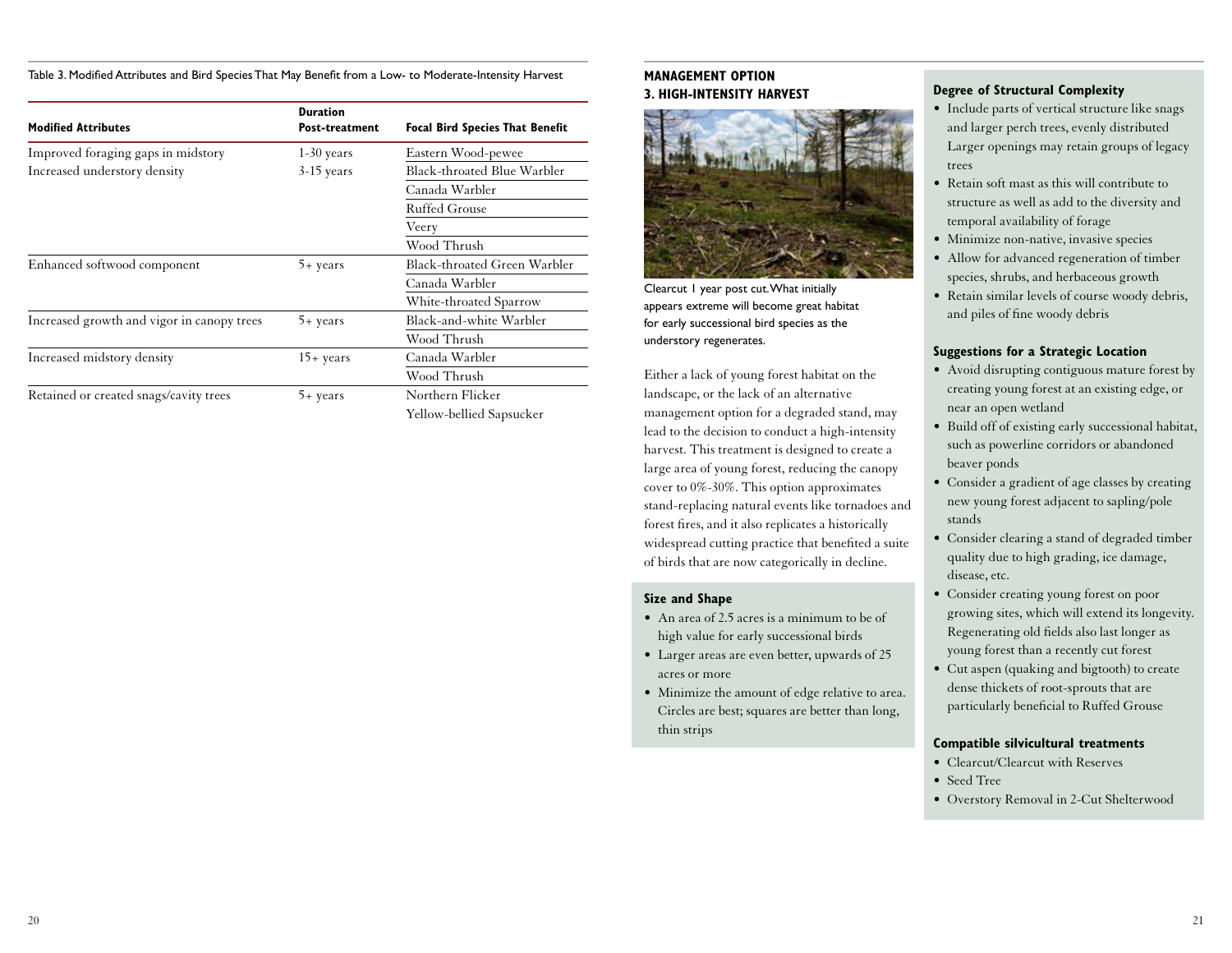Table 3. Modified Attributes and Bird Species That May Benefit from a Low- to Moderate-Intensity Harvest

| <b>Modified Attributes</b>                 | <b>Duration</b><br><b>Post-treatment</b> | <b>Focal Bird Species That Benefit</b> |  |
|--------------------------------------------|------------------------------------------|----------------------------------------|--|
| Improved foraging gaps in midstory         | $1-30$ years                             | Eastern Wood-pewee                     |  |
| Increased understory density               | $3-15$ years                             | Black-throated Blue Warbler            |  |
|                                            |                                          | Canada Warbler                         |  |
|                                            |                                          | Ruffed Grouse                          |  |
|                                            |                                          | Veery                                  |  |
|                                            |                                          | Wood Thrush                            |  |
| Enhanced softwood component                | $5 + \text{years}$                       | Black-throated Green Warbler           |  |
|                                            |                                          | Canada Warbler                         |  |
|                                            |                                          | White-throated Sparrow                 |  |
| Increased growth and vigor in canopy trees | $5 + \text{years}$                       | Black-and-white Warbler                |  |
|                                            |                                          | Wood Thrush                            |  |
| Increased midstory density                 | $15 + \text{years}$                      | Canada Warbler                         |  |
|                                            |                                          | Wood Thrush                            |  |
| Retained or created snags/cavity trees     | $5 + \text{years}$                       | Northern Flicker                       |  |
|                                            |                                          | Yellow-bellied Sapsucker               |  |

### **MANAGEMENT OPTION 3. HIGH-INTENSITY HARVEST**



Clearcut 1 year post cut. What initially appears extreme will become great habitat for early successional bird species as the understory regenerates.

Either a lack of young forest habitat on the landscape, or the lack of an alternative management option for a degraded stand, may lead to the decision to conduct a high-intensity harvest. This treatment is designed to create a large area of young forest, reducing the canopy cover to 0%-30%. This option approximates stand-replacing natural events like tornadoes and forest fires, and it also replicates a historically widespread cutting practice that benefited a suite of birds that are now categorically in decline.

### **Size and Shape**

- An area of 2.5 acres is a minimum to be of high value for early successional birds
- Larger areas are even better, upwards of 25 acres or more
- Minimize the amount of edge relative to area. Circles are best; squares are better than long, thin strips

### **Degree of Structural Complexity**

- Include parts of vertical structure like snags and larger perch trees, evenly distributed Larger openings may retain groups of legacy trees
- Retain soft mast as this will contribute to structure as well as add to the diversity and temporal availability of forage
- Minimize non-native, invasive species
- Allow for advanced regeneration of timber species, shrubs, and herbaceous growth
- Retain similar levels of course woody debris, and piles of fine woody debris

# **Suggestions for a Strategic Location**

- Avoid disrupting contiguous mature forest by creating young forest at an existing edge, or near an open wetland
- Build off of existing early successional habitat, such as powerline corridors or abandoned beaver ponds
- Consider a gradient of age classes by creating new young forest adjacent to sapling/pole stands
- Consider clearing a stand of degraded timber quality due to high grading, ice damage, disease, etc.
- Consider creating young forest on poor growing sites, which will extend its longevity. Regenerating old fields also last longer as young forest than a recently cut forest
- Cut aspen (quaking and bigtooth) to create dense thickets of root-sprouts that are particularly beneficial to Ruffed Grouse

### **Compatible silvicultural treatments**

- Clearcut/Clearcut with Reserves
- Seed Tree
- Overstory Removal in 2-Cut Shelterwood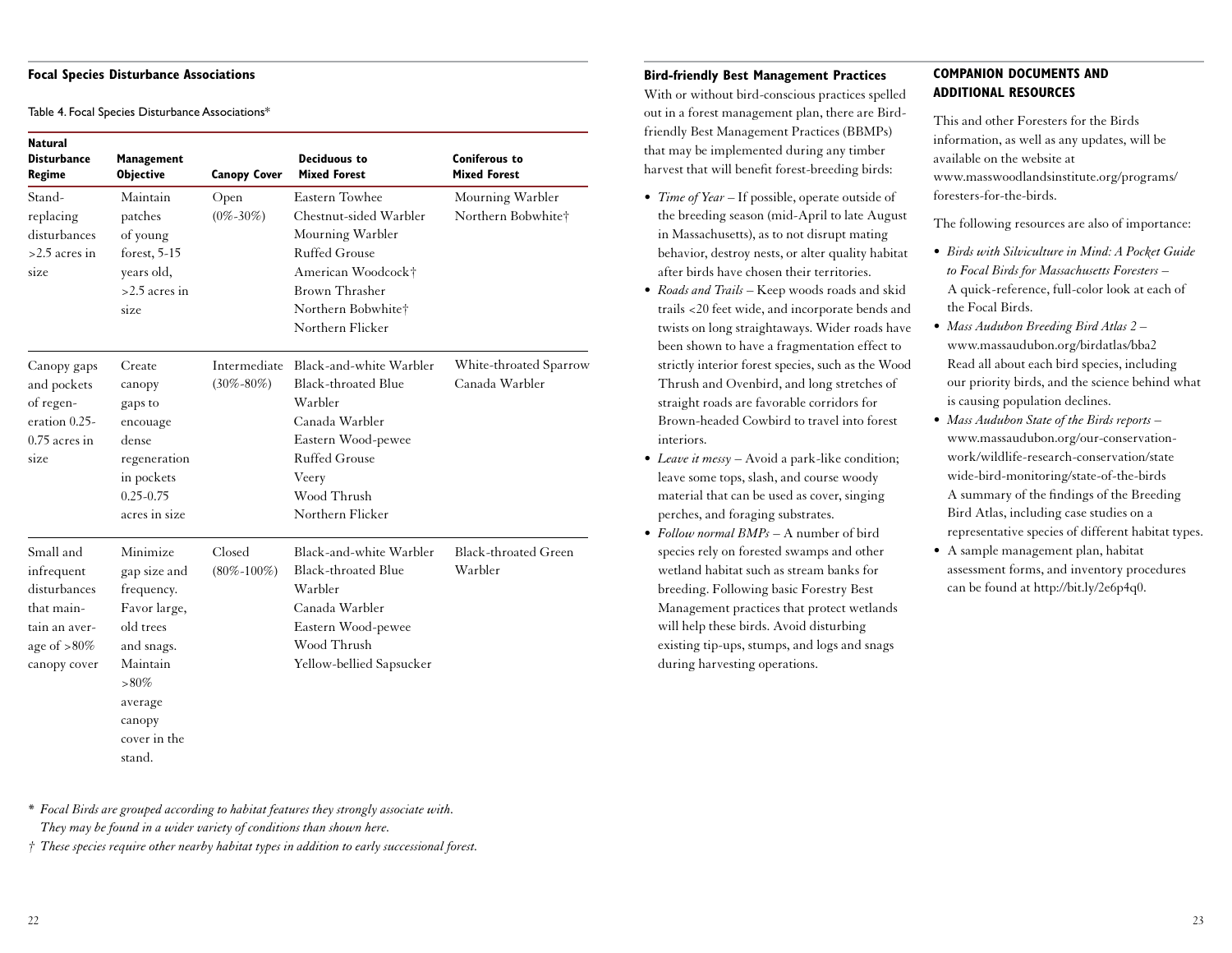#### **Focal Species Disturbance Associations**

Table 4. Focal Species Disturbance Associations\*

| Natural<br><b>Disturbance</b><br>Regime                                                                  | Management<br><b>Objective</b>                                                                                                                          | <b>Canopy Cover</b>             | <b>Deciduous to</b><br><b>Mixed Forest</b>                                                                                                                                   | <b>Coniferous to</b><br><b>Mixed Forest</b> |
|----------------------------------------------------------------------------------------------------------|---------------------------------------------------------------------------------------------------------------------------------------------------------|---------------------------------|------------------------------------------------------------------------------------------------------------------------------------------------------------------------------|---------------------------------------------|
| Stand-<br>replacing<br>disturbances<br>$>2.5$ acres in<br>size                                           | Maintain<br>patches<br>of young<br>forest, 5-15<br>years old,<br>$>2.5$ acres in<br>size                                                                | Open<br>$(0\% - 30\%)$          | <b>Eastern Towhee</b><br>Chestnut-sided Warbler<br>Mourning Warbler<br>Ruffed Grouse<br>American Woodcock†<br>Brown Thrasher<br>Northern Bobwhite†<br>Northern Flicker       | Mourning Warbler<br>Northern Bobwhite†      |
| Canopy gaps<br>and pockets<br>of regen-<br>eration 0.25-<br>$0.75$ acres in<br>size                      | Create<br>canopy<br>gaps to<br>encouage<br>dense.<br>regeneration<br>in pockets<br>$0.25 - 0.75$<br>acres in size                                       | Intermediate<br>$(30\% - 80\%)$ | Black-and-white Warbler<br><b>Black-throated Blue</b><br>Warbler<br>Canada Warbler<br>Eastern Wood-pewee<br><b>Ruffed Grouse</b><br>Veery<br>Wood Thrush<br>Northern Flicker | White-throated Sparrow<br>Canada Warbler    |
| Small and<br>infrequent<br>disturbances<br>that main-<br>tain an aver-<br>age of $>80\%$<br>canopy cover | Minimize<br>gap size and<br>frequency.<br>Favor large,<br>old trees<br>and snags.<br>Maintain<br>$>80\%$<br>average<br>canopy<br>cover in the<br>stand. | Closed<br>$(80\% - 100\%)$      | Black-and-white Warbler<br>Black-throated Blue<br>Warbler<br>Canada Warbler<br>Eastern Wood-pewee<br>Wood Thrush<br>Yellow-bellied Sapsucker                                 | <b>Black-throated Green</b><br>Warbler      |

# **Bird-friendly Best Management Practices**

With or without bird-conscious practices spelled out in a forest management plan, there are Birdfriendly Best Management Practices (BBMPs) that may be implemented during any timber harvest that will benefit forest-breeding birds:

- *Time of Year* If possible, operate outside of the breeding season (mid-April to late August in Massachusetts), as to not disrupt mating behavior, destroy nests, or alter quality habitat after birds have chosen their territories.
- *Roads and Trails* Keep woods roads and skid trails <20 feet wide, and incorporate bends and twists on long straightaways. Wider roads have been shown to have a fragmentation effect to strictly interior forest species, such as the Wood Thrush and Ovenbird, and long stretches of straight roads are favorable corridors for Brown-headed Cowbird to travel into forest interiors.
- *Leave it messy* Avoid a park-like condition; leave some tops, slash, and course woody material that can be used as cover, singing perches, and foraging substrates.
- *Follow normal BMPs* A number of bird species rely on forested swamps and other wetland habitat such as stream banks for breeding. Following basic Forestry Best Management practices that protect wetlands will help these birds. Avoid disturbing existing tip-ups, stumps, and logs and snags during harvesting operations.

### **COMPANION DOCUMENTS AND ADDITIONAL RESOURCES**

This and other Foresters for the Birds information, as well as any updates, will be available on the website at www.masswoodlandsinstitute.org/programs/ foresters-for-the-birds.

The following resources are also of importance:

- *Birds with Silviculture in Mind: A Pocket Guide to Focal Birds for Massachusetts Foresters* – A quick-reference, full-color look at each of the Focal Birds.
- *Mass Audubon Breeding Bird Atlas 2* www.massaudubon.org/birdatlas/bba2 Read all about each bird species, including our priority birds, and the science behind what is causing population declines.
- *Mass Audubon State of the Birds reports* www.massaudubon.org/our-conservationwork/wildlife-research-conservation/state wide-bird-monitoring/state-of-the-birds A summary of the findings of the Breeding Bird Atlas, including case studies on a representative species of different habitat types.
- A sample management plan, habitat assessment forms, and inventory procedures can be found at http://bit.ly/2e6p4q0.

*\* Focal Birds are grouped according to habitat features they strongly associate with. They may be found in a wider variety of conditions than shown here.*

*† These species require other nearby habitat types in addition to early successional forest.*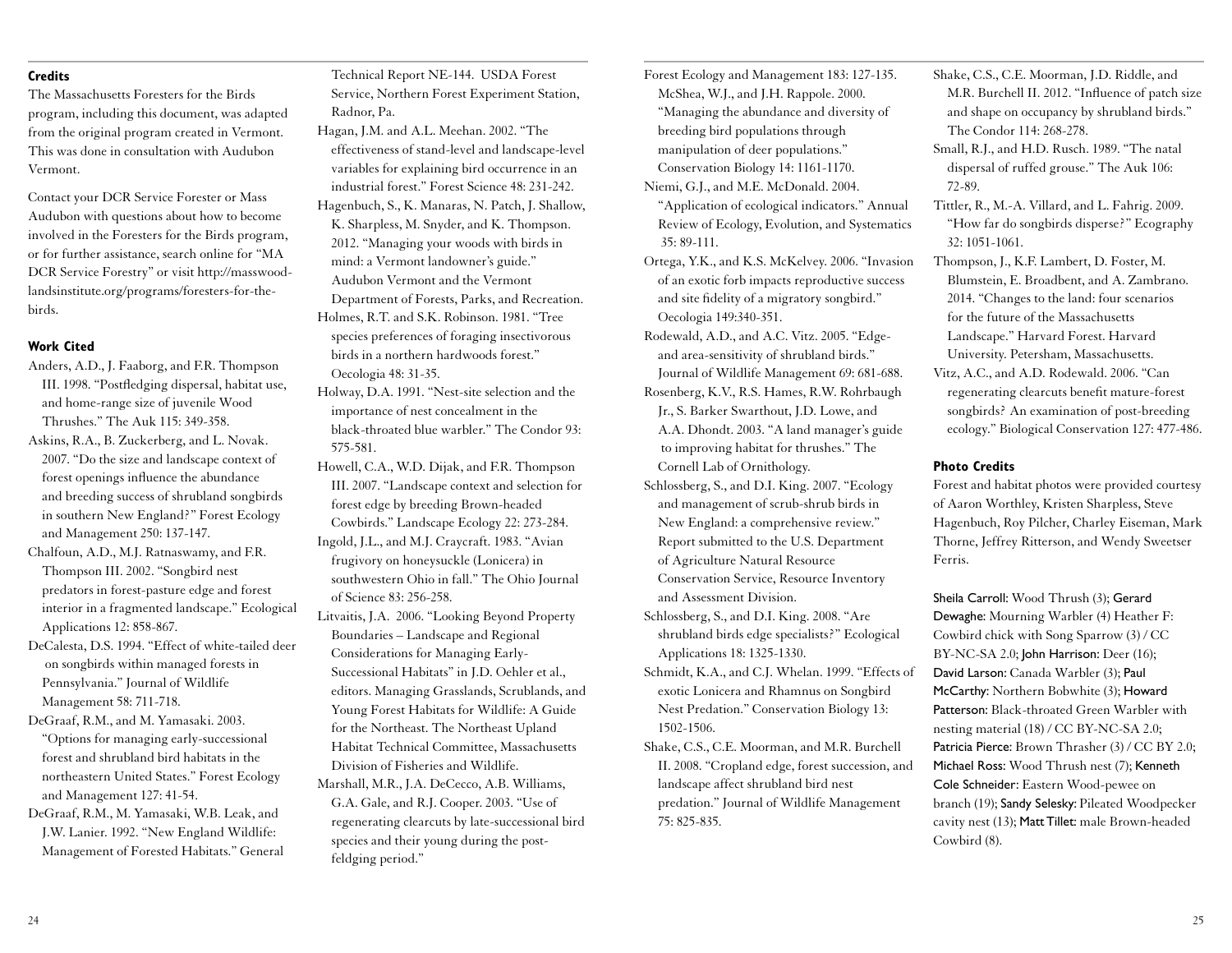# **Credits**

The Massachusetts Foresters for the Birds program, including this document, was adapted from the original program created in Vermont. This was done in consultation with Audubon Vermont.

Contact your DCR Service Forester or Mass Audubon with questions about how to become involved in the Foresters for the Birds program, or for further assistance, search online for "MA DCR Service Forestry" or visit http://masswoodlandsinstitute.org/programs/foresters-for-thebirds.

#### **Work Cited**

Anders, A.D., J. Faaborg, and F.R. Thompson III. 1998. "Postfledging dispersal, habitat use, and home-range size of juvenile Wood Thrushes." The Auk 115: 349-358.

Askins, R.A., B. Zuckerberg, and L. Novak. 2007. "Do the size and landscape context of forest openings influence the abundance and breeding success of shrubland songbirds in southern New England?" Forest Ecology and Management 250: 137-147.

Chalfoun, A.D., M.J. Ratnaswamy, and F.R. Thompson III. 2002. "Songbird nest predators in forest-pasture edge and forest interior in a fragmented landscape." Ecological Applications 12: 858-867.

DeCalesta, D.S. 1994. "Effect of white-tailed deer on songbirds within managed forests in Pennsylvania." Journal of Wildlife Management 58: 711-718.

DeGraaf, R.M., and M. Yamasaki. 2003. "Options for managing early-successional forest and shrubland bird habitats in the northeastern United States." Forest Ecology and Management 127: 41-54.

DeGraaf, R.M., M. Yamasaki, W.B. Leak, and J.W. Lanier. 1992. "New England Wildlife: Management of Forested Habitats." General

Technical Report NE-144. USDA Forest Service, Northern Forest Experiment Station, Radnor, Pa.

- Hagan, J.M. and A.L. Meehan. 2002. "The effectiveness of stand-level and landscape-level variables for explaining bird occurrence in an industrial forest." Forest Science 48: 231-242. Hagenbuch, S., K. Manaras, N. Patch, J. Shallow, K. Sharpless, M. Snyder, and K. Thompson. 2012. "Managing your woods with birds in mind: a Vermont landowner's guide." Audubon Vermont and the Vermont Department of Forests, Parks, and Recreation. Holmes, R.T. and S.K. Robinson. 1981. "Tree species preferences of foraging insectivorous birds in a northern hardwoods forest." Oecologia 48: 31-35.
- Holway, D.A. 1991. "Nest-site selection and the importance of nest concealment in the black-throated blue warbler." The Condor 93: 575-581.

Howell, C.A., W.D. Dijak, and F.R. Thompson III. 2007. "Landscape context and selection for forest edge by breeding Brown-headed Cowbirds." Landscape Ecology 22: 273-284. Ingold, J.L., and M.J. Craycraft. 1983. "Avian frugivory on honeysuckle (Lonicera) in

southwestern Ohio in fall." The Ohio Journal of Science 83: 256-258.

Litvaitis, J.A. 2006. "Looking Beyond Property Boundaries – Landscape and Regional Considerations for Managing Early-Successional Habitats" in J.D. Oehler et al., editors. Managing Grasslands, Scrublands, and Young Forest Habitats for Wildlife: A Guide for the Northeast. The Northeast Upland Habitat Technical Committee, Massachusetts Division of Fisheries and Wildlife.

Marshall, M.R., J.A. DeCecco, A.B. Williams, G.A. Gale, and R.J. Cooper. 2003. "Use of regenerating clearcuts by late-successional bird species and their young during the postfeldging period."

Forest Ecology and Management 183: 127-135. McShea, W.J., and J.H. Rappole. 2000. "Managing the abundance and diversity of breeding bird populations through manipulation of deer populations." Conservation Biology 14: 1161-1170.

Niemi, G.J., and M.E. McDonald. 2004. "Application of ecological indicators." Annual Review of Ecology, Evolution, and Systematics 35: 89-111.

Ortega, Y.K., and K.S. McKelvey. 2006. "Invasion of an exotic forb impacts reproductive success and site fidelity of a migratory songbird." Oecologia 149:340-351.

Rodewald, A.D., and A.C. Vitz. 2005. "Edgeand area-sensitivity of shrubland birds." Journal of Wildlife Management 69: 681-688.

Rosenberg, K.V., R.S. Hames, R.W. Rohrbaugh Jr., S. Barker Swarthout, J.D. Lowe, and A.A. Dhondt. 2003. "A land manager's guide to improving habitat for thrushes." The Cornell Lab of Ornithology.

Schlossberg, S., and D.I. King. 2007. "Ecology and management of scrub-shrub birds in New England: a comprehensive review." Report submitted to the U.S. Department of Agriculture Natural Resource Conservation Service, Resource Inventory and Assessment Division.

Schlossberg, S., and D.I. King. 2008. "Are shrubland birds edge specialists?" Ecological Applications 18: 1325-1330.

Schmidt, K.A., and C.J. Whelan. 1999. "Effects of exotic Lonicera and Rhamnus on Songbird Nest Predation." Conservation Biology 13: 1502-1506.

Shake, C.S., C.E. Moorman, and M.R. Burchell II. 2008. "Cropland edge, forest succession, and landscape affect shrubland bird nest predation." Journal of Wildlife Management 75: 825-835.

Shake, C.S., C.E. Moorman, J.D. Riddle, and M.R. Burchell II. 2012. "Influence of patch size and shape on occupancy by shrubland birds." The Condor 114: 268-278.

Small, R.J., and H.D. Rusch. 1989. "The natal dispersal of ruffed grouse." The Auk 106: 72-89.

Tittler, R., M.-A. Villard, and L. Fahrig. 2009. "How far do songbirds disperse?" Ecography 32: 1051-1061.

Thompson, J., K.F. Lambert, D. Foster, M. Blumstein, E. Broadbent, and A. Zambrano. 2014. "Changes to the land: four scenarios for the future of the Massachusetts Landscape." Harvard Forest. Harvard University. Petersham, Massachusetts.

Vitz, A.C., and A.D. Rodewald. 2006. "Can regenerating clearcuts benefit mature-forest songbirds? An examination of post-breeding ecology." Biological Conservation 127: 477-486.

#### **Photo Credits**

Forest and habitat photos were provided courtesy of Aaron Worthley, Kristen Sharpless, Steve Hagenbuch, Roy Pilcher, Charley Eiseman, Mark Thorne, Jeffrey Ritterson, and Wendy Sweetser Ferris.

Sheila Carroll: Wood Thrush (3); Gerard Dewaghe: Mourning Warbler (4) Heather F: Cowbird chick with Song Sparrow (3) / CC BY-NC-SA 2.0; John Harrison: Deer (16); David Larson: Canada Warbler (3); Paul McCarthy: Northern Bobwhite (3); Howard Patterson: Black-throated Green Warbler with nesting material (18) / CC BY-NC-SA 2.0; Patricia Pierce: Brown Thrasher (3) / CC BY 2.0; Michael Ross: Wood Thrush nest (7); Kenneth Cole Schneider: Eastern Wood-pewee on branch (19); Sandy Selesky: Pileated Woodpecker cavity nest (13); Matt Tillet: male Brown-headed Cowbird (8).